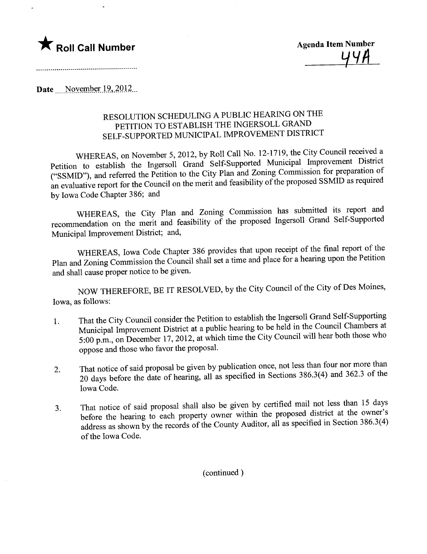

Date November  $19, 2012$ ...

## RESOLUTION SCHEDULING A PUBLIC HEARING ON THE PETITION TO ESTABLISH THE INGERSOLL GRAND SELF -SUPPORTED MUNICIPAL IMPROVEMENT DISTRICT

WHEREAS, on November 5, 2012, by Roll Call No. 12-1719, the City Council received a Petition to establish the Ingersoll Grand Self-Supported Municipal Improvement District ("SSMID"), and referred the Petition to the City Plan and Zoning Commission for preparation of ("SSMID"), and referred the Petition to the City Plan and Zoning Commission  $\frac{1}{2}$  is required an evaluative report for the Council on the merit and feasibility of the proposed SSMID as required by Iowa Code Chapter 386; and

WHEREAS, the City Plan and Zoning Commission has submitted its report and recommendation on the merit and feasibility of the proposed Ingersoll Grand Self-Supported Municipal Improvement District; and,

WHEREAS, Iowa Code Chapter 386 provides that upon receipt of the final report of the Plan and Zoning Commission the Council shall set a time and place for a hearing upon the Petition and shall cause proper notice to be given.

NOW THEREFORE, BE IT RESOLVED, by the City Council of the City of Des Moines, Iowa, as follows:

- 1. That the City Council consider the Petition to establish the Ingers of Chambers at Municipal Improvement District at a public hearing to be held in the Council Chambers at 5:00 p.m., on December 17, 2012, at which time the City Council wil hear both those who oppose and those who favor the proposal.
- 2. That notice of said proposal be given by publication once,  $\frac{1}{2}$  and  $\frac{1}{2}$  and  $\frac{1}{2}$  and  $\frac{1}{2}$  and  $\frac{1}{2}$  and  $\frac{1}{2}$  and  $\frac{1}{2}$  and  $\frac{1}{2}$  and  $\frac{1}{2}$  and  $\frac{1}{2}$  and  $\frac{1}{2}$  and  $\frac{1$ 20 days before the date of hearing, all as specified in Sections 386.3(4) and 362.3 of the Iowa Code.
- $3.$  That notice of said proposal shall also be given by containing material district of the owner's before the hearing to each property owner within the proposed district at the owner's address as shown by the records of the County Auditor, all as specified in Section 386.3(4) of the Iowa Code.

(continued)